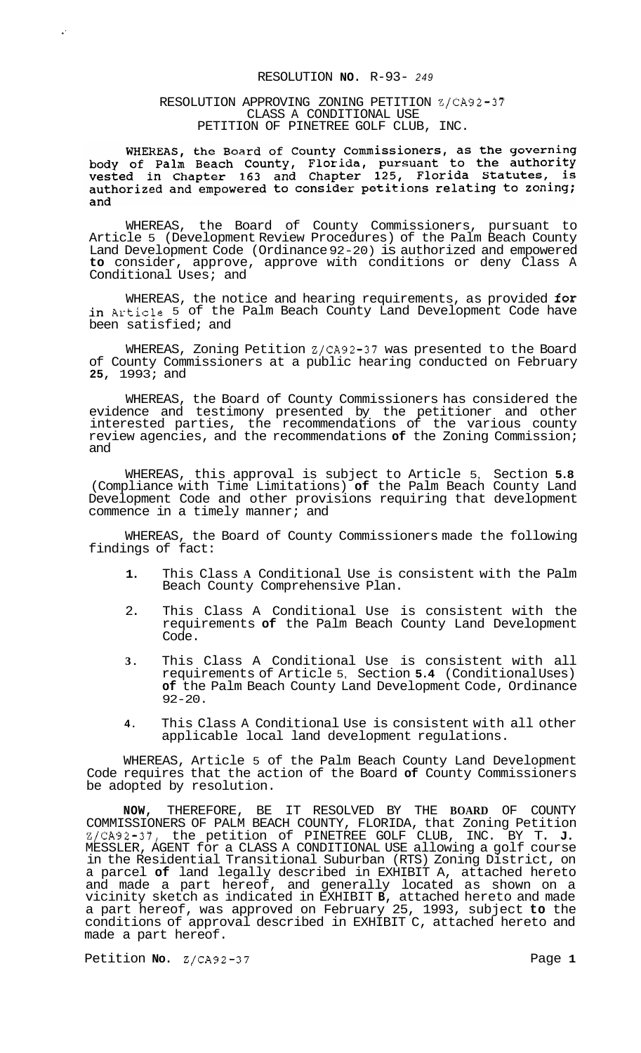### RESOLUTION **NO.** R-93- *<sup>249</sup>*

# RESOLUTION APPROVING ZONING PETITION Z/CA92-37 CLASS A CONDITIONAL USE PETITION OF PINETREE GOLF CLUB, INC.

WHEREAS, the Board of County Commissioners, as the governing<br>body of Palm Beach County, Florida, pursuant to the authority<br>vested in Chapter 163 and Chapter 125, Florida Statutes, is authorized and empowered to consider petitions relating to zoning; and

WHEREAS, the Board of County Commissioners, pursuant to Article 5 (Development Review Procedures) of the Palm Beach County Land Development Code (Ordinance 92-20) is authorized and empowered **to** consider, approve, approve with conditions or deny Class A Conditional Uses; and

WHEREAS, the notice and hearing requirements, as provided  ${\tt for}$ in Article 5 of the Palm Beach County Land Development Code have been satisfied; and

WHEREAS, Zoning Petition Z/CA92-37 was presented to the Board of County Commissioners at a public hearing conducted on February **25,** 1993; and

WHEREAS, the Board of County Commissioners has considered the evidence and testimony presented by the petitioner and other interested parties, the recommendations of the various county review agencies, and the recommendations **of** the Zoning Commission; and

WHEREAS, this approval is subject to Article 5, Section **5.8**  (Compliance with Time Limitations) **of** the Palm Beach County Land Development Code and other provisions requiring that development commence in a timely manner; and

WHEREAS, the Board of County Commissioners made the following findings of fact:

- **1.** This Class **A** Conditional Use is consistent with the Palm Beach County Comprehensive Plan.
- 2. This Class A Conditional Use is consistent with the requirements **of** the Palm Beach County Land Development Code.
- **3.** This Class A Conditional Use is consistent with all requirements of Article 5, Section **5.4** (Conditional Uses) **of** the Palm Beach County Land Development Code, Ordinance 92-20.
- **4.** This Class A Conditional Use is consistent with all other applicable local land development regulations.

WHEREAS, Article 5 of the Palm Beach County Land Development Code requires that the action of the Board **of** County Commissioners be adopted by resolution.

**NOW,** THEREFORE, BE IT RESOLVED BY THE **BOARD** OF COUNTY COMMISSIONERS OF PALM BEACH COUNTY, FLORIDA, that Zoning Petition Z/CA92-37, the petition of PINETREE GOLF CLUB, INC. BY T. **J.**  MESSLER, AGENT for a CLASS A CONDITIONAL USE allowing a golf course in the Residential Transitional Suburban (RTS) Zoning District, on a parcel **of** land legally described in EXHIBIT A, attached hereto and made a part hereof, and generally located as shown on a vicinity sketch as indicated in EXHIBIT **B,** attached hereto and made a part hereof, was approved on February 25, 1993, subject **to** the conditions of approval described in EXHIBIT C, attached hereto and made a part hereof.

Petition **No.**  $Z/CA92-37$  Page 1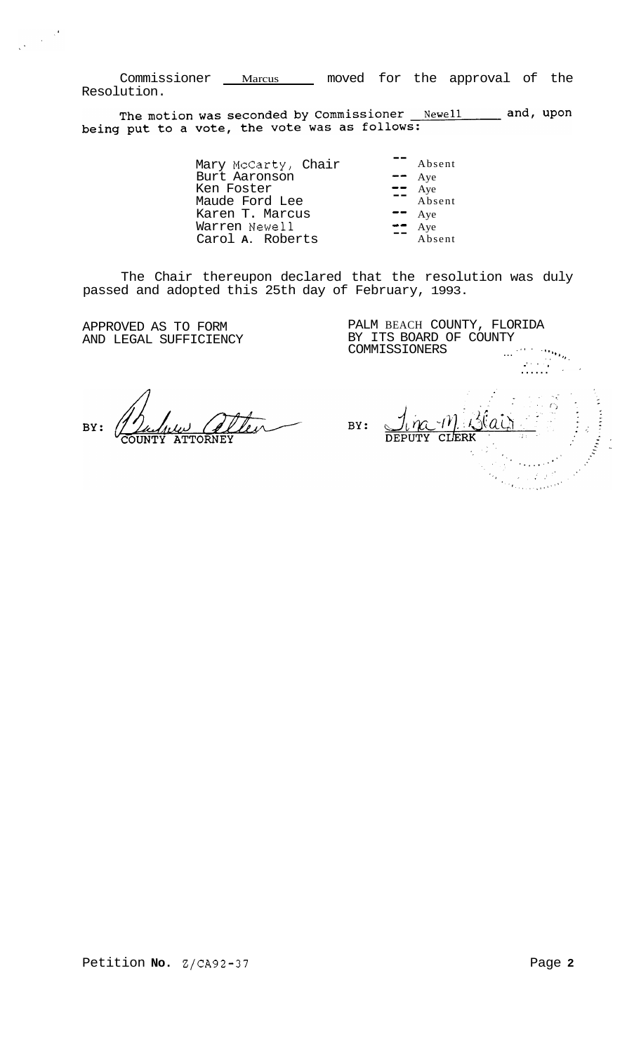Commissioner Marcus moved for the approval of the Resolution.

The motion was seconded by Commissioner Newell and, upon being put to a vote, the vote was as follows:

> Mary McCarty, Chair Burt Aaronson -- Aye Ken Foster -- Aye Maude Ford Lee Maude Ford Lee<br>Karen T. Marcus -- Aye Warren Newell<br>Carol **A.** Roberts **---** Absent Carol **A.** Roberts  $\begin{array}{c}\n -\n \text{Absent} \\
> -\n \text{Aye}\n \end{array}$  $\begin{bmatrix} -1 \\ -1 \end{bmatrix}$  Aye  $\begin{array}{cc} \text{--} \\ \text{--} \end{array}$  Aye

The Chair thereupon declared that the resolution was duly passed and adopted this 25th day of February, 1993.

APPROVED AS TO FORM AND LEGAL SUFFICIENCY

 $\frac{1}{\sqrt{2}}\left(\frac{1}{\sqrt{2}}\right)^{1/2}\frac{d^4}{d^4}$ 

PALM BEACH COUNTY, FLORIDA BY ITS BOARD OF COUNTY<br>COMMISSIONERS COMMISSIONERS ,.# . ... **.I.,** '>, . , \*. /. . -. **,I**  ......

tten BY:

**Service Service State**  $-\gamma$ BY: CLERK  $\mathcal{A}^{(1)}$ ang menerikan<br>Manazarta di Ka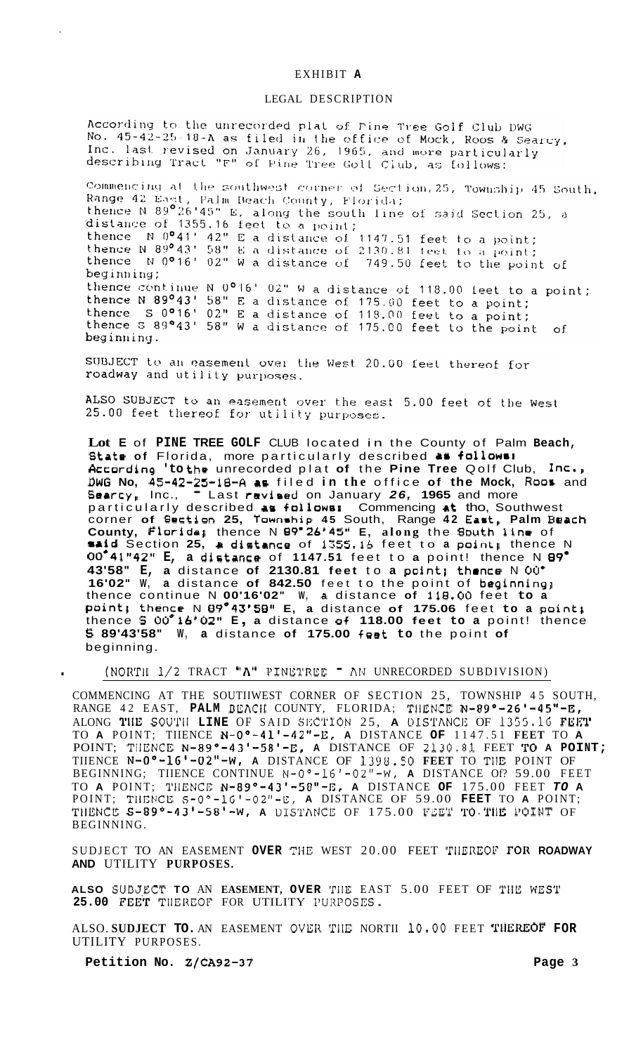# [EXHIBIT](#page-5-0) **A**

# LEGAL DESCRIPTION

According to the unrecorded plat of Fine Tree Golf Club DWG<br>No.  $45-42-25-18-A$  as filed in the office of Mock, Roos & Searcy, Inc. last revised on January 26, 1965, and more particularly describing Tract "F" of Pine Tree Golf Club, as follows:

Commencing at the southwest corner of Section, 25, Township 45 South, Range 42 East, Palm Beach County, Florida; thence N 89°26'45" E, along the south line of said Section 25, a thence N 89 26'45" E, along the sout<br>distance of 1355.16 feet to a point; distance of 1355.16 feet to a point;<br>thence  $N = N^0 41' - 42''$  E a distance of 1147.51 feet to a point;<br>thence  $N = N^0 43' - 58''$  E a distance of 2130.81 feet to a point;<br>thence  $N = N^0 16' - 02''$  W a distance of 749.50 feet to beginning; thence continue N  $0^{\circ}$ 16' 02" W a distance of 118.00 feet to a point; thence Continue N 0-16' 02" w a distance of 118.00 feet to a<br>thence N 89°43' 58" E a distance of 175.00 feet to a point;<br>thence S 0°16' 02" E a distance of 118.00 feet to a point;<br>thence S 89°43' 58" W a distance of 175.0  $\circ$  f beginning.

SUBJECT to an easement over the West 20.00 feet thereof for roadway and utility purposes.

ALSO SUBJECT to an easement over the east 5.00 feet of the West 25.00 feet thereof for utility purposes.

**Lot E** of **PINE TREE GOLF** CLUB located in the County of Palm **Beach,**   ${\tt State~of~Florida,~more~partically~described~\hbox{\tt as~follows1}}$ Clccording **'to** the unrecorded plat **of** the **Pine Tree** Qolf Club, Inc., **DWG No, 45-42-25-18-A as filed in the office of the Mock, Rooms and Searcy, Inc., T Last revised on January 26, 1965 and more** F Last ravised on January 26, 1965 and more particularly described as fullows: Commencing at tho, Southwest corner **of** Section **25,** Townmhip **45** South, Range **42** Eaut, **Palm** brrach **County,** Florida1 thence N **69-26'4!5\*' E, along** the aouth **line** of **said Section 25, a distance of 1355.16 feet to a point; thence N 00\*41"42" E, a** dietance of **1147.51** feet to **a** point! thence N **89' 43'58" E, a** distance **of 2130.81 feet** to **a pointj** th8nre N *00'*  **16'02" W, a** distance **of 842.50** feet to the point of beginning3 thence continue N **00'16'02" W, a** distance **of 118.00** feet **to a**  Point1 thince N **89"43'58" E, a** distance **of 175.06** feet **to a point8**  thence *5 00"* **16'02t8 E** , **a** distance **of 118.00 feet to a** point! thence **S** 89'43'58" W, a distance of 175.00 feet to the point of beginning.

(NORTII 1/2 TRACT **"A"** PINWREE - **AN** UNRECORDED SUBDIVISION)

COMMENCING AT THE SOUTIIWEST CORNER OF SECTION 25, TOWNSHIP 45 SOUTH, ALONG THE SOUTH LINE OF SAID SECTION 25, A DISTANCE OF 1355.16 FEET RANGE 42 EAST, **PALM** BEACH COUNTY, FLORIDA; THENCE **N-89°-26'-45"**· TO **A** POINT; TIIENCE N-0°-41'-42"-E, **A** DISTANCE **OF** 1147.51 **FEET** TO **A**  POINT; THENCE N-89°-43'-58'-E, A DISTANCE OF 2130.81 FEET TO A POINT; TIIENCE N-0°-1G'-02"-W, **A** DISTANCE OF **3.398.50 FEET** TO TllE POINT OF BEGINNING; TIIENCE CONTINUE N-0°-16'-02"-W, **A** DISTANCE Of? 59.00 FEET TO **A** POINT; TIIENCE N-8g0-43'-58"-E, **A** DISTANCE **OF** 175.00 FEET *TO* **A**  POINT; TIIENCE S-0°-1G'-02"-E, **A** DISTANCE OF 59.00 **FEET** TO **A** POINT; TllENCE S-89O-43'-58'-W, **A** UIS'L'ANCE OF 175.00 **FEE%' TO.TI1E** POINT OF BEGINNING.

SUDJECT TO AN EASEMENT **OVER** THE WEST 20.00 FEET **TliEREOF** FOR **ROADWAY AND** UTILITY **PURPOSES.** 

**ALSO** SUJ3J.ECT **TO** AN **EASEMENT, OVER TIlE** EAST 5.00 FEET OF TllE **WEST 25.00 FEET THEREOF FOR UTILITY PURPOSES.** 

ALSO. SUDJECT TO. AN EASEMENT OVER THE NORTH 10.00 FEET THEREOF FOR UTILITY PURPOSES.

**Petition No. Z/CA92-37 Page 3** 

.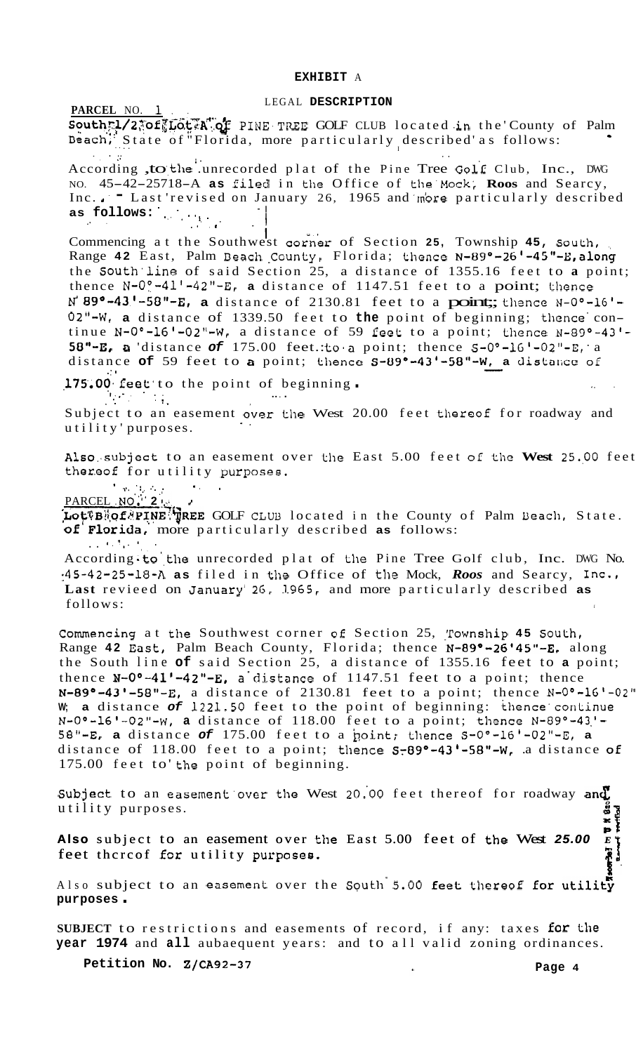# LEGAL **DESCRIPTION**

South:1/2\*of\*Lot\*A" of PINE TREE GOLF CLUB located in the County of Palm Beach, State of "Florida, more particularly described' as follows:

According , to the unrecorded plat of the Pine Tree Golf Club, Inc., DWG NO. 45-42-25718-A **as** filed in the Office of the'Mock; **Roos** and Searcy, Inc..  $\blacksquare$  Last 'revised on January 26, 1965 and more particularly described **as follows:**  $\begin{array}{ccc} \hline \end{array}$ **1.** *1.* **<b>***i i i i i i i i i i i i i i i i i i i i i i i i i i i i i i i i i i i* 

Commencing at the Southwest corner of Section **25,** Township **45, Soukh,** ., Range 42 East, Palm Beach County, Florida; thence N-89°-26'-45"-E, along the South'line of said Section 25, a distance of 1355.16 feet to **a** point; thence  $N-0$ <sup>o</sup>-41<sup>t</sup>-42<sup>"-E</sup>, a distance of 1147.51 feet to a point; thence **N' 89°-43'-58"-E, a** distance of 2130.81 feet to a point;; thence N-0°-16'-02"-W, **a** distance of 1339.50 feet to **the** point of beginning; thence' continue  $N-0°-16' -02''-W$ , a distance of 59 feet to a point; thence  $N-89°-43'$ -<br>58"-E, a distance of 175.00 feet to a point; thence  $S-0°-16' -02''-E$ , a distance of 59 feet to a point; thence  $S-89°-43' -58''-W$ , a distance of **5E3"-E0 a** 'distance *of* 175.00 feet.: **t0.a** point; thence **S-Oo-1G'-02"-E,** ' a distance of 59 feet to a point; thence  $S-89^\circ-43'$ -58"-W, a distance of

**175.00** feet to the point of beginning . **.I.,-** , ' . . .. .. .. . . .. ,.

Subject to an easement over the West 20.00 feet thereof for roadway and utility' purposes.

Also..subject to an easement over **the** East 5.00 feet **oE** the **West** *25.,00* feet thereof for utility purposes.

PARCEL . **NO':' <sup>2</sup>**& **<sup>4</sup>** , we say that  $\mathcal{L}_{\mathcal{A}}$  , and the same  $\mathcal{L}_{\mathcal{A}}$ 

**PARCEL NO. 1** 

**LOCAL NO. 2:**<br>Lot<sup>t</sup>Biof PINE. TREE GOLF CLUB located in the County of Palm Beach, State. of **Florida**, more particularly described as follows: .. *I,* **1,.** ' .

According to the unrecorded plat of the Pine Tree Golf club, Inc. DWG No. :45-42-25-18-A **as** filed in **the** Office of the Mock, *Roos* and Searcy, Inc., **Last** revieed on January'26, **1.965,** and more particularly described **as**  follows:

Commencing at the Southwest corner of Section 25, Township 45 South, Range 42 East, Palm Beach County, Florida; thence N-89°-26'45"-E, along the South line **of** said Section 25, a distance of 1355.16 feet to **a** point; thence  $N-0$ <sup>o</sup>-41'-42"-E, a distance of 1147.51 feet to a point; thence **N-89"-43'-58"-E,** a distance of 2130.81 feet to a point; thence **N-0°-1G'-02"**  W; a distance of 1221.50 feet to the point of beginning: thence continue N-0°-16'-02"-W, a distance of 118.00 feet to a point; thence N-89°-43'-**58"-E, a** distance *of* 175.00 feet to a boint; thence **S-0°-16'-02"-E, a**  distance of 118.00 feet to a point; thence  $S-89^\circ-43'$ -58"-W, a distance of 175.00 feet to' the point of beginning.

Subject to an easement over the West 20.00 feet thereof for roadway and utility purposes. **\*e Q m.9 =f m:** 

Also subject to an easement over the East 5.00 feet of the West 25.00 *E*<sub>1</sub><br>feet thereof for utility purposes. feet thcrcof for utility purposes.

Also subject to an easement over the South<sup>'</sup> 5.00 feet thereof for utility<br>purposes .

**SUBJECT** to restrictions and easements of record, if any: taxes for the **year 1974** and **all** aubaequent years: and to all valid zoning ordinances.

**Petition No. Z/CA92-37 Page 4**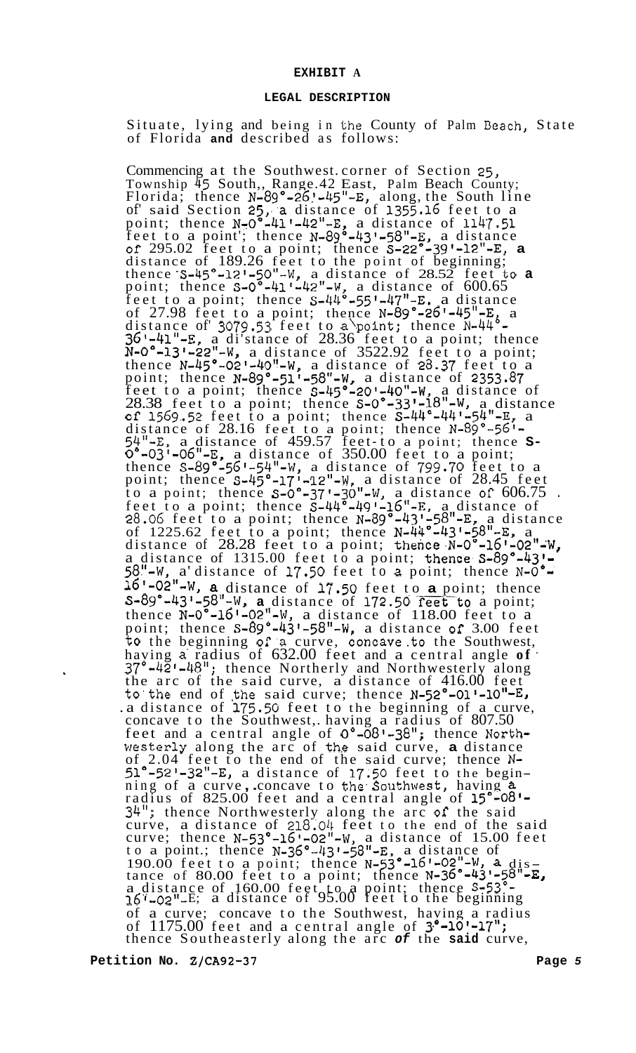### **[EXHIBIT](#page-5-0) A**

# **LEGAL DESCRIPTION**

Situate, lying and being in the County of Palm Beach, State of Florida **and** described as follows:

Commencing at the Southwest. corner of Section 25, Township 45 South,, Range.42 East, Palm Beach County; Florida; thence  $N-89^\circ-26.1-45^\circ-E$ , along, the South line of said Section 25, a distance of 1355.16 feet to a point; thence  $N_{7}0^{\circ} - 41' - 42'' - E$ , a distance of 1147.51 feet to a point'; thence  $N-89^\circ-43^\circ-58^\circ-E$ , a distance of 295.02 feet to a point; thence S-22°-391-12"-E, **a**  distance of 189.26 feet to the point of beginning; thence 'S-45°-121-50"-WJ a distance of 28.52 feet *to* **a**  point; thence  $S=0$ <sup>5</sup> $-41$ <sup>1</sup> $-42$ <sup>"</sup> $-W$ , a distance of 600.65 feet to a point; thence  $S-446^\circ -55^\circ -47^\circ -E$ , a distance of 27.98 feet to a point; thence  $N-89^\circ-26^\circ-45^\circ- E$ , a distance of' 3079.53 feet to a'point; thence N-44"-  $36'$ -41"-E, a distance of  $28.36$  feet to a point; thence N-0°-13'-22"-W, a distance of 3522.92 feet to a point;<br>thence N-45°-02'-40"-W, a distance of 28.37 feet to a point; thence  $N-89^\circ-51^\circ-58''-W$ , a distance of 2353.87 feet to a point; thence  $S-45^\circ-20^\circ-40^\circ- W$ , a distance of  $28.38$  feet to a point; thence  $S-0°-33!-18"$ -W, a distance of 1569.52 feet to a point; thence  $S=44^{\circ}-44^{\circ}-54^{\circ}-E$ , a distance of  $28.16$  feet to a point; thence  $N-89^\circ-56^\circ$ . **54"-E,** a distance of 459.57 feet- to a point; thence **S-** 0°-03t-06"-E, a distance of 350.00 feet to a point; thence S-89°-561-54"-W, a distance of 799.70 feet to a point; thence  $S-45^\circ-17^\circ-12^\circ-\mathcal{W}$ , a distance of 28.45 feet to a point; thence  $S-0^\circ-37'$ -30"-W, a distance of  $606.75$ .<br>feet to a point; thence  $S-44^\circ-49'$ -46"-E, a distance of  $28.06$  feet to a point; thence  $N-89^\circ-43^\circ-58''-E$ , a distance of 1225.62 feet to a point; thence  $N-\frac{14}{4}$  -43'-58"-E, a distance of  $28.28$  feet to a point; thence  $N-0$  $-16$  $-02$ " $-N$ , a distance of  $1315.00$  feet to a point; thence  $S-89^\circ-43'$ 58"-W, a distance of 17.50 feet to a point; thence N-O<sup>o</sup> 16'-02"-w, **a** distance of 17.50 feet to **a** point; thence S-89<sup>°</sup>-43'-58"-W, a distance of 172.50 feet to a point; thence  $N-0$ <sup>-161-02"-W, a distance of 118.00 feet to a</sup> point; thence  $S-89^\circ-43^\circ-58^\circ- W$ , a distance of 3.00 feet to the beginning of'a curve, concave.to the Southwest, having a' radius of 632.00 feet and a central angle **of** ' 37"-42 '-48"; thence Northerly and Northwesterly along the arc of the said curve, a distance of 416.00 feet to'the end of ,the said curve; thence N-52°-O11-10" **-E,**  .a distance of 175.50 feet to the beginning of a curve, concave to the Southwest,. having a radius of 807.50 feet and a central angle of  $0^\circ$ -08'-38"; thence Northwesterly along the arc of the said curve, a distance of 2.04 feet to the end of the said curve; thence N-<br>51°-52'-32"-E, a distance of 17.50 feet to the begin-<br>ning of a curve, concave to the Southwest, having a radius of 825.00 feet and a central angle of 15"-08'- 34"; thence Northwesterly along the arc of the said curve, a distance of 218.04 feet to the end of the said curve; thence  $N-53^{\circ}-16$  $-02^{\circ}$  $-W$ , a distance of 15.00 feet to a point.; thence  $N-36^\circ - 43^\circ - 58^\circ - E$ , a distance of 190.00 feet to a point; thence  $N-53^\circ - 16^\circ - 02^\circ - W$ , a dis-<br>tance of 80.00 feet to a point; thence  $N-36^\circ - 43^\circ - 58^\circ - E$ , a distance of  $160.00$  feet to a point; thence  $S-53$ . a distance of  $160.00$  reet to  $\alpha$  point, thence  $5.00$  feet to the beginning of a curve; concave to the Southwest, having a radius of  $1175.00$  feet and a central angle of  $3^{\circ}$ -10'-17"; thence Southeasterly along the arc *of* the **said** curve,

**Petition No. Z/CA92-37 Page** *5*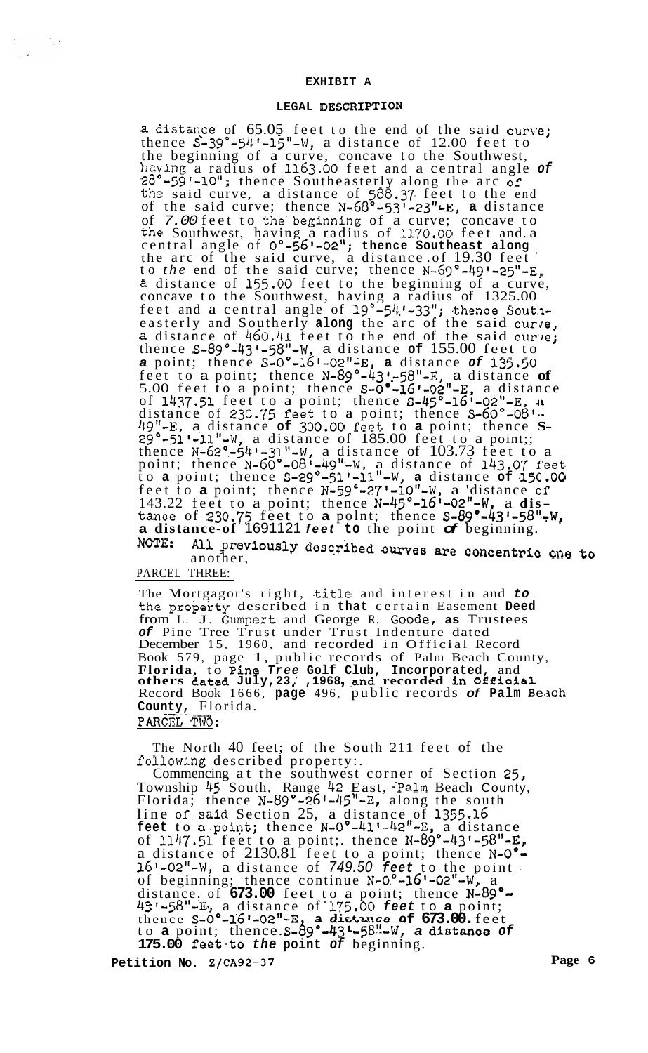# **EXHIBIT A**

### **LEGAL DESCRIPTION**

a distance of  $65.05$  feet to the end of the said curve; thence  $S-39^\circ-54^\circ-15''-W$ , a distance of 12.00 feet to the beginning of a curve, concave to the Southwest, having a radius of **1163.00** feet and a central angle *of*  **28O-59'-10";** thence Southeasterly along the arc or the said curve, a distance of 588.37 feet to the end of the said curve; thence **N-68"-531-23"~E, a** distance of *7.00* feet to the'beginning of a curve; concave to the Southwest, having a radius of **ll7O.00** feet and. a central angle of *0"-561-02";* **thence Southeast along**  the arc of the said curve, a distance .of 19.30 feet ' to *the* end of the said curve; thence **N-69"-49I-25"-E, a** distance of 155.00 feet to the beginning of a curve, concave to the Southwest, having a radius of 1325.00 feet and a central angle of **19°-54.1-33";** .thence Sout:Ieasterly and Southerly **along** the arc of the said curre, a distance of 460.41 feet to the end of the said curre; thence S-89°-'431-58"-W, a distance **of** 155.00 feet to *a* point; thence s-0"-16~-02~'-~, **a** distance *of* **135.50**  feet to a point; thence N-89"-431.-58"-E, a distance **of**  5.00 feet to a point; thence  $S-\overline{0}$ <sup>o</sup>-16'-02"-E, a distance of 1437.51 feet to a point; thence **S-45<sup>8</sup>-16<sup>1</sup>-02"-E**, *a* distance of 230.75 feet to a point; thence  $S-60^\circ-08$ 49"-E, a distance of 300.00 feet to a point; thence S-<br>29°-51'-11"-W, a distance of 185.00 feet to a point;;<br>thence N-62°-54'-31"-W, a distance of 103.73 feet to a point; thence **N-60"-081-49"-W,** a distance of **143.07** f'eet to **a** point; thence S-29°-511-ll"-W, **a** distance **of** .15C,.OO feet to **a** point; thence **N-5g0-27'-10"=W,** a 'distance **cf**  143.22 feet to a point; thence  $N=59$  -27 -16'-02"-W, a dis-<br>143.22 feet to a point; thence  $N=45^{\circ}-16^{\circ}-02^{\circ}-W$ , a dis-<br>tance of 230.75 feet to **a** point; thence  $S-89^{\circ}-43^{\circ}-58^{\circ}-W$ , **a distance-of** 1691121 *feet* **to** the point *of* beginning.

All previously described curves are concentric one to another, NOTE:

PARCEL THREE:

<span id="page-5-0"></span> $\mathcal{F}_\alpha$  )

The Mortgagor's right, title and interest in and *to the* property described in **that** certain Easement **Deed**  from L. J. Gumpert and George R. Goode, **as** Trustees *of* Pine Tree Trust under Trust Indenture dated December 15, 1960, and recorded in Official Record Book 579, page 1, public records of Palm Beach County, **Florida,** to **Pine** *Tree* **Golf Club, Incorporated,** and **others datod July, 23** ,' **,1968** , **.and recorded in Offiaial**  Record Book 1666, page 496, public records of Palm Beach County, Florida. PARCEL TWO:

The North 40 feet; of the South 211 feet of the following described property:.

Commencing at the southwest corner of Section **25,**  Township 45 South, Range 42 East, **:Palm** Beach County, Florida; thence  $N-89^\circ-26'$ -45"-E, along the south line **of.said** Section 25, a distance of **1355.16 feet** to a.point; thence **N-Oo-41'-42"-E,** a distance of lllC7.51 feet to a point;. thence **N-89"-43r-58"-E,**  a distance of 2130.81 feet to a point; thence N-O **1.6~-02~~-w,** a distance of *749.50 feet* to the point . of beginning; thence continue  $N-0.0 - 16$  - 02"-W, a distance. of **673.00** feet to a point; thence N-89°. 4,"f-58"-E1, a distance of **'175.00** *feet* to **a** point;  $t$ hence  $5-0$ ° $-16$ <sup> $1$ </sup> $-02$ <sup> $n$ </sup> $E_{\lambda}$  a distance of 673.00.  $\text{feet}_{\lambda}$ to **a** point; thence. S-89°-43L-58'!-tr, *a* **distanoe** *of*  **175.00 feetlto** *the* **point** *of* beginning.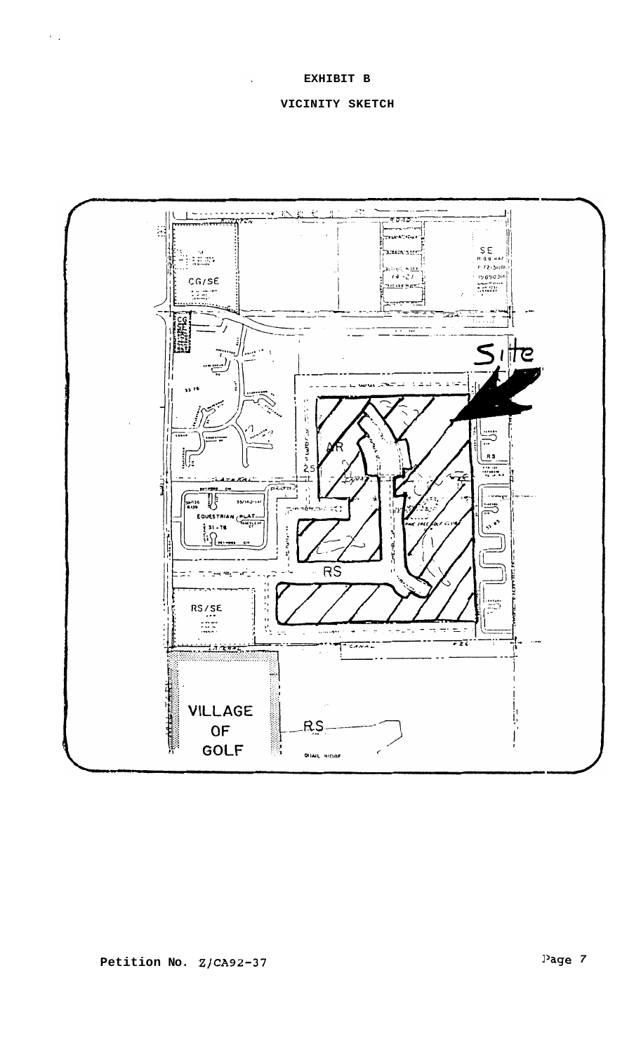$\epsilon_{\rm{max}}$ 

# **VICINITY SKETCH**

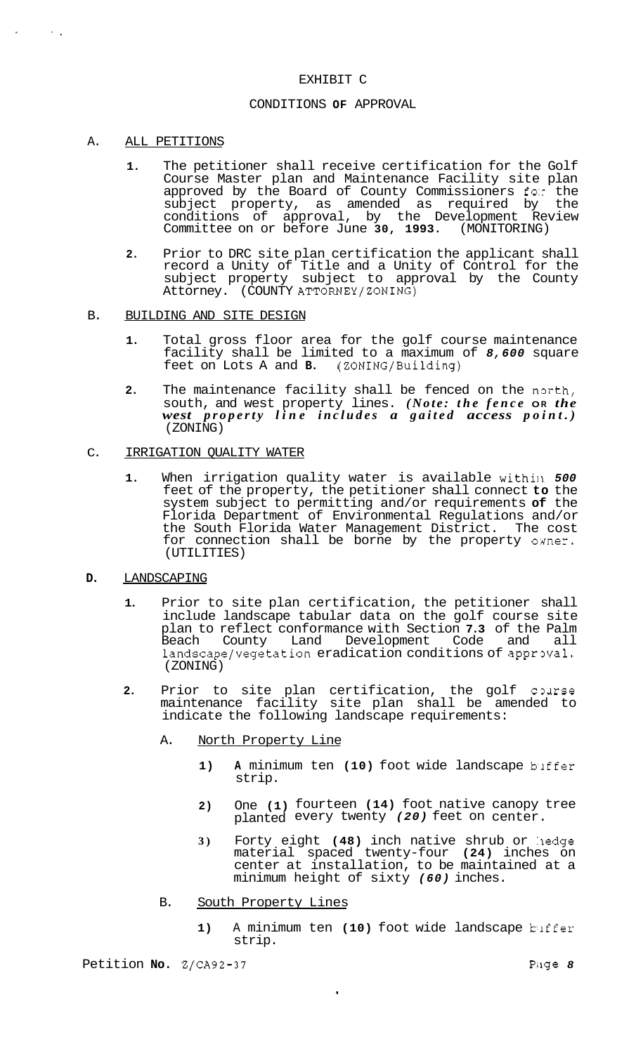# EXHIBIT C

## CONDITIONS **OF** APPROVAL

### A. ALL PETITIONS

 $\mathcal{L}^{\text{max}}$ 

- **1.** The petitioner shall receive certification for the Golf Course Master plan and Maintenance Facility site plan approved by the Board of County Commissioners fo:r the subject property, as amended as required by the conditions of approval, by the Development Review Committee on or before June **30, 1993.** (MONITORING)
- **2.** Prior to DRC site plan certification the applicant shall record a Unity of Title and a Unity of Control for the subject property subject to approval by the County Edge of  $_{F}$  =  $_{F}$  =  $_{F}$  =  $_{F}$  =  $_{F}$  =  $_{F}$  =  $_{F}$  =  $_{F}$  =  $_{F}$  =  $_{F}$  =  $_{F}$  =  $_{F}$  =  $_{F}$  =  $_{F}$  =  $_{F}$  =  $_{F}$  =  $_{F}$  =  $_{F}$  =  $_{F}$  =  $_{F}$  =  $_{F}$  =  $_{F}$  =  $_{F}$  =  $_{F}$  =  $_{F}$  =  $_{F}$  =  $_{F}$
- B. BUILDING AND SITE DESIGN
	- **1.** Total gross floor area for the golf course maintenance facility shall be limited to a maximum of *8,600* square feet on Lots A and **B.** (ZONING/Building)
	- **2.** The maintenance facility shall be fenced on the north, south, and west property lines. *(Note: the fence* **OR** *the west property line includes a gaited access point.)*  (ZONING)

### C. IRRIGATION QUALITY WATER

1. When irrigation quality water is available within 500 feet of the property, the petitioner shall connect **to** the system subject to permitting and/or requirements **of** the Florida Department of Environmental Regulations and/or the South Florida Water Management District. The cost for connection shall be borne by the property owner. (UTILITIES)

# **D.** LANDSCAPING

- **1.** Prior to site plan certification, the petitioner shall include landscape tabular data on the golf course site plan to reflect conformance with Section **7.3** of the Palm Land Development landscape/vegetation eradication conditions of approval. (ZONING)
- 2. Prior to site plan certification, the golf course maintenance facility site plan shall be amended to indicate the following landscape requirements:
	- A. North Property Line
		- **1) A** minimum ten **(10)** foot wide landscape blffer strip.
		- **2)** One **(1)** fourteen **(14)** foot native canopy tree planted every twenty *(20)* feet on center.
		- **3)** Forty eight **(48)** inch native shrub or :ledge material spaced twenty-four **(24)** inches on center at installation, to be maintained at a minimum height of sixty *(60)* inches.
	- B. South Property Lines
		- 1) A minimum ten (10) foot wide landscape buffer strip.

 $\bullet$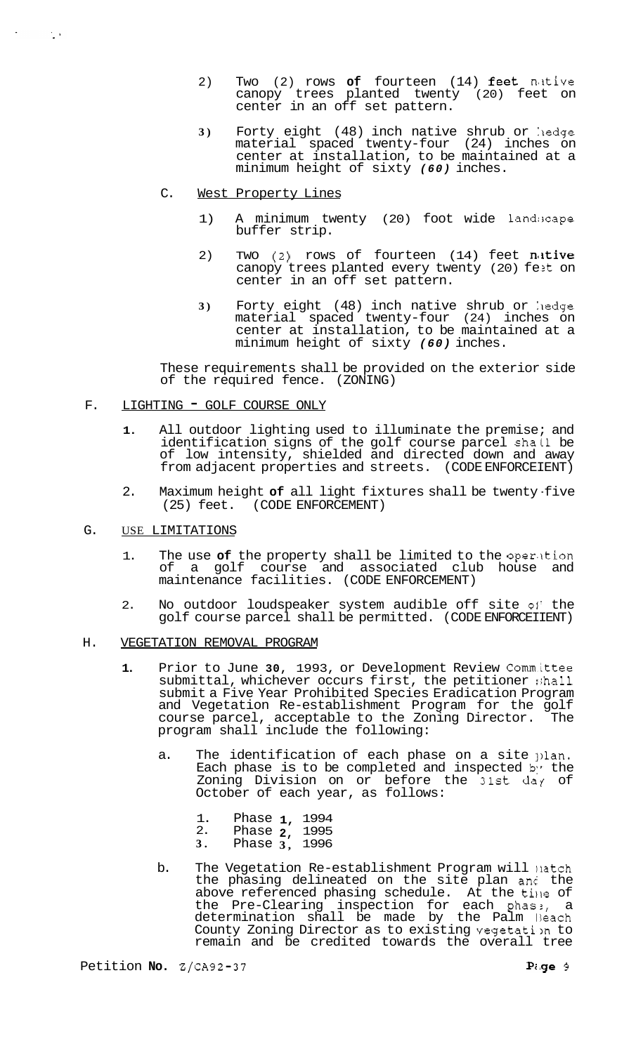- 2) Two (2) rows **of** fourteen (14) feet n'itive canopy trees planted twenty (20) feet on center in an off set pattern.
- **3)** Forty eight (48) inch native shrub or :ledge material spaced twenty-four (24) inches on center at installation, to be maintained at a minimum height of sixty *(60)* inches.
- C. West Property Lines
	- 1) A minimum twenty (20) foot wide 1and:;cape buffer strip.
	- 2) TWO  $(2)$  rows of fourteen  $(14)$  feet native canopy trees planted every twenty (20) feet on center in an off set pattern.
	- **3**) Forty eight (48) inch native shrub or hedge material spaced twenty-four (24) inches on center at installation, to be maintained at a minimum height of sixty *(60)* inches.

These requirements shall be provided on the exterior side of the required fence. (ZONING)

# F. LIGHTING - GOLF COURSE ONLY

- **1.** All outdoor lighting used to illuminate the premise; and identification signs of the golf course parcel shall be of low intensity, shielded and directed down and away from adjacent properties and streets. (CODE ENFORCEIENT)
- 2. Maximum height **of** all light fixtures shall be twenty -five (25) feet. (CODE ENFORCEMENT)

#### G. USE LIMITATIONS

 $\sim 10^{-4}$ 

- 1. The use of the property shall be limited to the operation of a golf course and associated club house and maintenance facilities. (CODE ENFORCEMENT)
- 2. No outdoor loudspeaker system audible off site **01'** the golf course parcel shall be permitted. (CODE ENFORCEIIENT)

#### $H<sub>1</sub>$ VEGETATION REMOVAL PROGRAM

- **1.** Prior to June **30,** 1993, or Development Review Committee submittal, whichever occurs first, the petitioner :;ha11 submit a Five Year Prohibited Species Eradication Program and Vegetation Re-establishment Program for the golf course parcel, acceptable to the Zoning Director. The program shall include the following:
	- a. The identification of each phase on a site plan. Each phase is to be completed and inspected *br* the Zoning Division on or before the 31st day of October of each year, as follows:

| 1.           | Phase $1,$ | 1994 |
|--------------|------------|------|
| 2.           | Phase $2,$ | 1995 |
| $\mathbf{z}$ | Dhace 2    | 1006 |

- **3.** Phase **3,** 1996
- b. The Vegetation Re-establishment Program will natch the phasing delineated on the site plan and the above referenced phasing schedule. At the time of the Pre-Clearing inspection for each phas<sub>3</sub>, a the Pre-Clearing inspection for each phase, a determination shall be made by the Palm Beach County Zoning Director as to existing vegetation to remain and be credited towards the overall tree